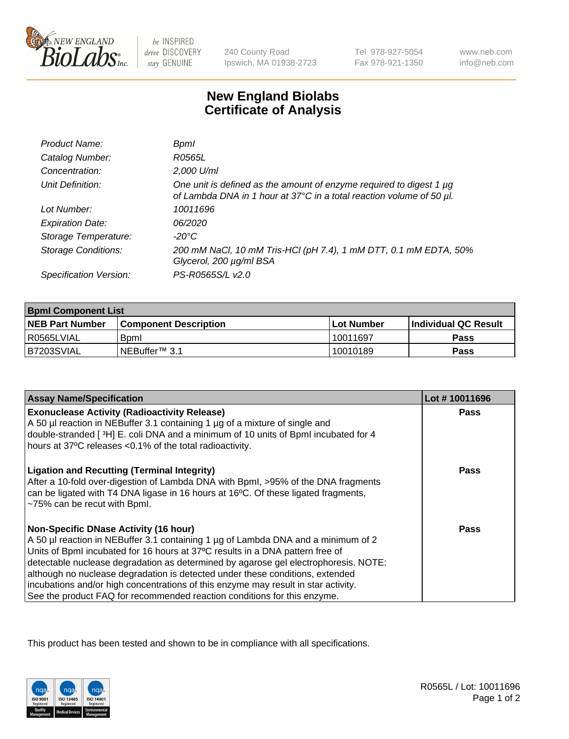

be INSPIRED drive DISCOVERY stay GENUINE

240 County Road Ipswich, MA 01938-2723 Tel 978-927-5054 Fax 978-921-1350

www.neb.com info@neb.com

## **New England Biolabs Certificate of Analysis**

| Product Name:              | Bpml                                                                                                                                             |
|----------------------------|--------------------------------------------------------------------------------------------------------------------------------------------------|
| Catalog Number:            | R0565L                                                                                                                                           |
| Concentration:             | 2,000 U/ml                                                                                                                                       |
| Unit Definition:           | One unit is defined as the amount of enzyme required to digest 1 $\mu$ g<br>of Lambda DNA in 1 hour at 37°C in a total reaction volume of 50 µl. |
| Lot Number:                | 10011696                                                                                                                                         |
| <b>Expiration Date:</b>    | 06/2020                                                                                                                                          |
| Storage Temperature:       | -20°C                                                                                                                                            |
| <b>Storage Conditions:</b> | 200 mM NaCl, 10 mM Tris-HCl (pH 7.4), 1 mM DTT, 0.1 mM EDTA, 50%<br>Glycerol, 200 µg/ml BSA                                                      |
| Specification Version:     | PS-R0565S/L v2.0                                                                                                                                 |

| <b>Bpml Component List</b> |                              |              |                             |  |
|----------------------------|------------------------------|--------------|-----------------------------|--|
| <b>NEB Part Number</b>     | <b>Component Description</b> | l Lot Number | <b>Individual QC Result</b> |  |
| l R0565LVIAL               | <b>B</b> <sub>pm</sub>       | 10011697     | <b>Pass</b>                 |  |
| B7203SVIAL                 | INEBuffer™ 3.1               | 10010189     | Pass                        |  |

| <b>Assay Name/Specification</b>                                                                                                                                                                                                                                                                                                                                                                                                                                                                                                                              | Lot #10011696 |
|--------------------------------------------------------------------------------------------------------------------------------------------------------------------------------------------------------------------------------------------------------------------------------------------------------------------------------------------------------------------------------------------------------------------------------------------------------------------------------------------------------------------------------------------------------------|---------------|
| <b>Exonuclease Activity (Radioactivity Release)</b><br>A 50 µl reaction in NEBuffer 3.1 containing 1 µg of a mixture of single and                                                                                                                                                                                                                                                                                                                                                                                                                           | Pass          |
| double-stranded [3H] E. coli DNA and a minimum of 10 units of BpmI incubated for 4                                                                                                                                                                                                                                                                                                                                                                                                                                                                           |               |
| hours at 37°C releases <0.1% of the total radioactivity.                                                                                                                                                                                                                                                                                                                                                                                                                                                                                                     |               |
| <b>Ligation and Recutting (Terminal Integrity)</b><br>After a 10-fold over-digestion of Lambda DNA with Bpml, >95% of the DNA fragments<br>can be ligated with T4 DNA ligase in 16 hours at 16°C. Of these ligated fragments,<br>~75% can be recut with Bpml.                                                                                                                                                                                                                                                                                                | Pass          |
| <b>Non-Specific DNase Activity (16 hour)</b><br>A 50 µl reaction in NEBuffer 3.1 containing 1 µg of Lambda DNA and a minimum of 2<br>Units of BpmI incubated for 16 hours at 37°C results in a DNA pattern free of<br>detectable nuclease degradation as determined by agarose gel electrophoresis. NOTE:<br>although no nuclease degradation is detected under these conditions, extended<br>incubations and/or high concentrations of this enzyme may result in star activity.<br>See the product FAQ for recommended reaction conditions for this enzyme. | Pass          |

This product has been tested and shown to be in compliance with all specifications.